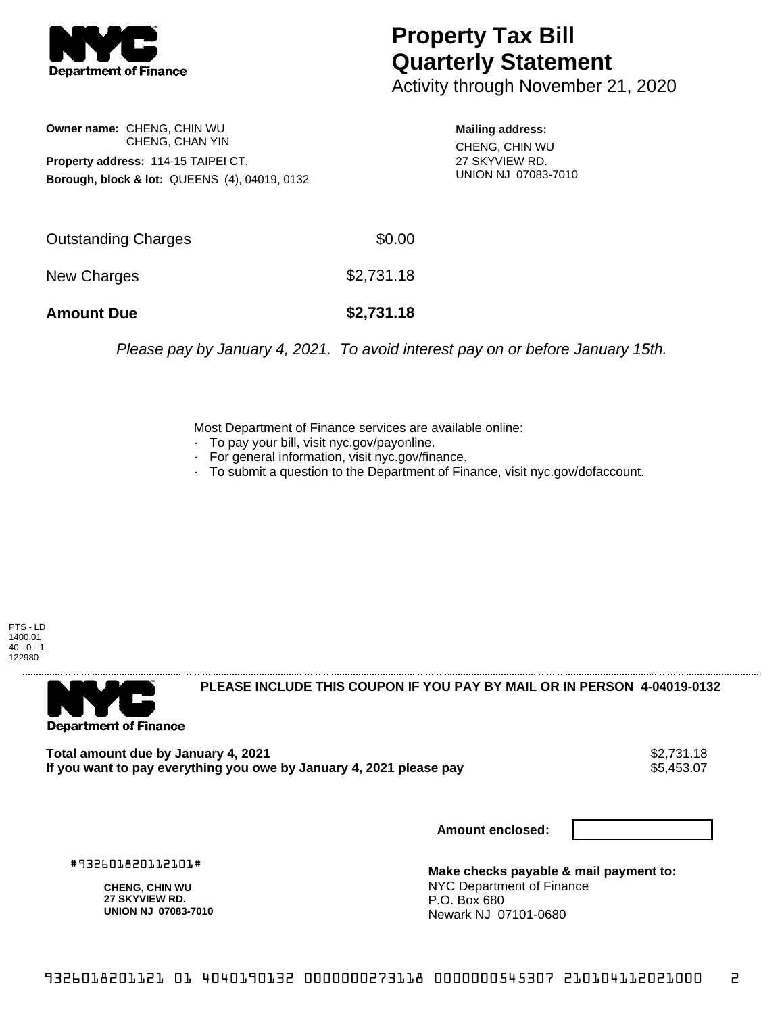

## **Property Tax Bill Quarterly Statement**

Activity through November 21, 2020

**Owner name:** CHENG, CHIN WU CHENG, CHAN YIN **Property address:** 114-15 TAIPEI CT. **Borough, block & lot:** QUEENS (4), 04019, 0132

**Mailing address:** CHENG, CHIN WU

27 SKYVIEW RD. UNION NJ 07083-7010

| <b>Amount Due</b>   | \$2,731.18 |
|---------------------|------------|
| New Charges         | \$2,731.18 |
| Outstanding Charges | \$0.00     |

Please pay by January 4, 2021. To avoid interest pay on or before January 15th.

Most Department of Finance services are available online:

- · To pay your bill, visit nyc.gov/payonline.
- For general information, visit nyc.gov/finance.
- · To submit a question to the Department of Finance, visit nyc.gov/dofaccount.

PTS - LD 1400.01  $40 - 0 - 1$ 122980



**PLEASE INCLUDE THIS COUPON IF YOU PAY BY MAIL OR IN PERSON 4-04019-0132** 

**Total amount due by January 4, 2021**<br>If you want to pay everything you owe by January 4, 2021 please pay **strategy of the State of the State Au** \$5,453 If you want to pay everything you owe by January 4, 2021 please pay

**Amount enclosed:**

#932601820112101#

**CHENG, CHIN WU 27 SKYVIEW RD. UNION NJ 07083-7010**

**Make checks payable & mail payment to:** NYC Department of Finance P.O. Box 680 Newark NJ 07101-0680